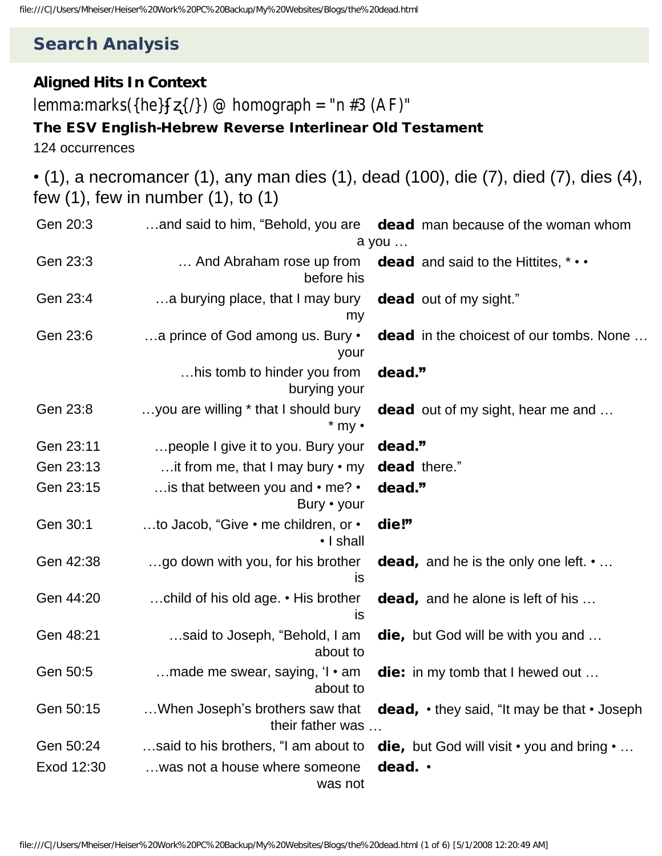## Search Analysis

## **Aligned Hits In Context**

lemma:marks({he} {/}) @ homograph = "n #3 (AF)"

## The ESV English-Hebrew Reverse Interlinear Old Testament

124 occurrences

• (1), a necromancer (1), any man dies (1), dead (100), die (7), died (7), dies (4), few (1), few in number (1), to (1)

| Gen 20:3   |                                                          | and said to him, "Behold, you are dead man because of the woman whom    |
|------------|----------------------------------------------------------|-------------------------------------------------------------------------|
|            |                                                          | a you                                                                   |
| Gen 23:3   | before his                                               | And Abraham rose up from dead and said to the Hittites, $* \cdot \cdot$ |
| Gen 23:4   | a burying place, that I may bury<br>my                   | <b>dead</b> out of my sight."                                           |
| Gen 23:6   | a prince of God among us. Bury •<br>your                 | <b>dead</b> in the choicest of our tombs. None                          |
|            | his tomb to hinder you from<br>burying your              | dead."                                                                  |
| Gen 23:8   | you are willing * that I should bury<br>$*$ my $\cdot$   | <b>dead</b> out of my sight, hear me and                                |
| Gen 23:11  | people I give it to you. Bury your                       | dead."                                                                  |
| Gen 23:13  | it from me, that I may bury • my                         | dead there."                                                            |
| Gen 23:15  | is that between you and • me? •<br>Bury • your           | dead."                                                                  |
| Gen 30:1   | to Jacob, "Give • me children, or •<br>• I shall         | die!"                                                                   |
| Gen 42:38  | go down with you, for his brother<br>is                  | <b>dead,</b> and he is the only one left. $\cdot \dots$                 |
| Gen 44:20  | child of his old age. • His brother<br>is                | <b>dead,</b> and he alone is left of his                                |
| Gen 48:21  | said to Joseph, "Behold, I am<br>about to                | die, but God will be with you and                                       |
| Gen 50:5   | made me swear, saying, $\mathsf{I} \cdot$ am<br>about to | die: in my tomb that I hewed out                                        |
| Gen 50:15  | When Joseph's brothers saw that<br>their father was      | dead, . they said, "It may be that . Joseph                             |
| Gen 50:24  | said to his brothers, "I am about to                     | die, but God will visit • you and bring •                               |
| Exod 12:30 | was not a house where someone<br>was not                 | dead. .                                                                 |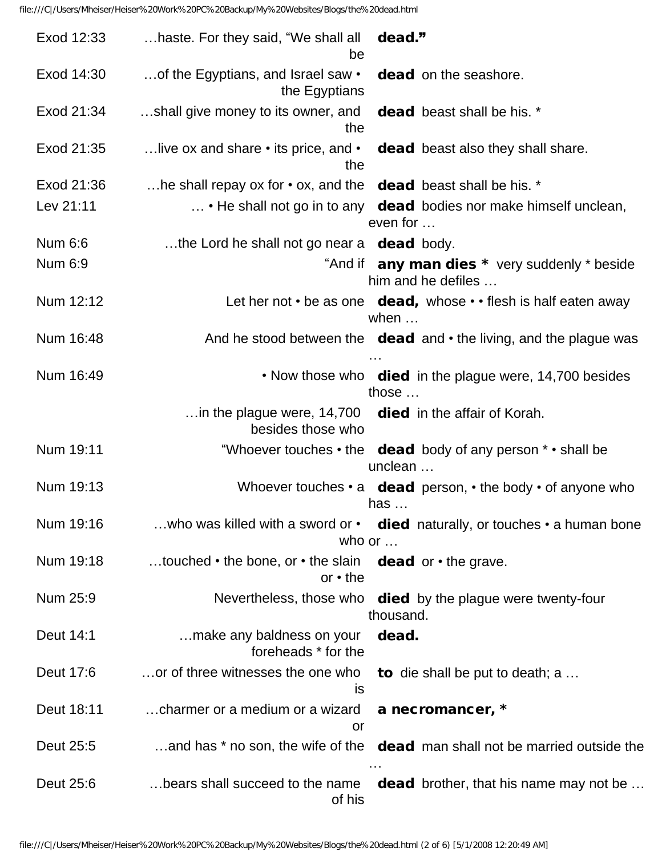| Exod 12:33 | haste. For they said, "We shall all<br>dead."<br>be                                                      |
|------------|----------------------------------------------------------------------------------------------------------|
| Exod 14:30 | dead on the seashore.<br>of the Egyptians, and Israel saw •<br>the Egyptians                             |
| Exod 21:34 | shall give money to its owner, and dead beast shall be his. *<br>the                                     |
| Exod 21:35 | live ox and share $\cdot$ its price, and $\cdot$ dead beast also they shall share.<br>the                |
| Exod 21:36 | he shall repay ox for $\cdot$ ox, and the dead beast shall be his. $\cdot$                               |
| Lev 21:11  | • He shall not go in to any dead bodies nor make himself unclean,<br>even for                            |
| Num 6:6    | the Lord he shall not go near a dead body.                                                               |
| Num 6:9    | "And if any man dies * very suddenly * beside<br>him and he defiles                                      |
| Num 12:12  | Let her not $\cdot$ be as one dead, whose $\cdot \cdot$ flesh is half eaten away<br>when $\dots$         |
| Num 16:48  | And he stood between the dead and • the living, and the plague was                                       |
| Num 16:49  | • Now those who died in the plague were, 14,700 besides<br>those                                         |
|            | in the plague were, $14,700$ died in the affair of Korah.<br>besides those who                           |
| Num 19:11  | "Whoever touches $\cdot$ the dead body of any person $\cdot$ $\cdot$ shall be<br>unclean                 |
| Num 19:13  | Whoever touches $\cdot$ a dead person, $\cdot$ the body $\cdot$ of anyone who<br>has $\dots$             |
| Num 19:16  | who was killed with a sword or $\cdot$ died naturally, or touches $\cdot$ a human bone<br>who or $\dots$ |
| Num 19:18  | touched $\cdot$ the bone, or $\cdot$ the slain dead or $\cdot$ the grave.<br>$or \cdot the$              |
| Num 25:9   | Nevertheless, those who died by the plague were twenty-four<br>thousand.                                 |
| Deut 14:1  | dead.<br>make any baldness on your<br>foreheads * for the                                                |
| Deut 17:6  | or of three witnesses the one who to die shall be put to death; a<br>is                                  |
| Deut 18:11 | charmer or a medium or a wizard<br>a necromancer, *<br>or                                                |
| Deut 25:5  | and has * no son, the wife of the dead man shall not be married outside the                              |
| Deut 25:6  | bears shall succeed to the name<br><b>dead</b> brother, that his name may not be<br>of his               |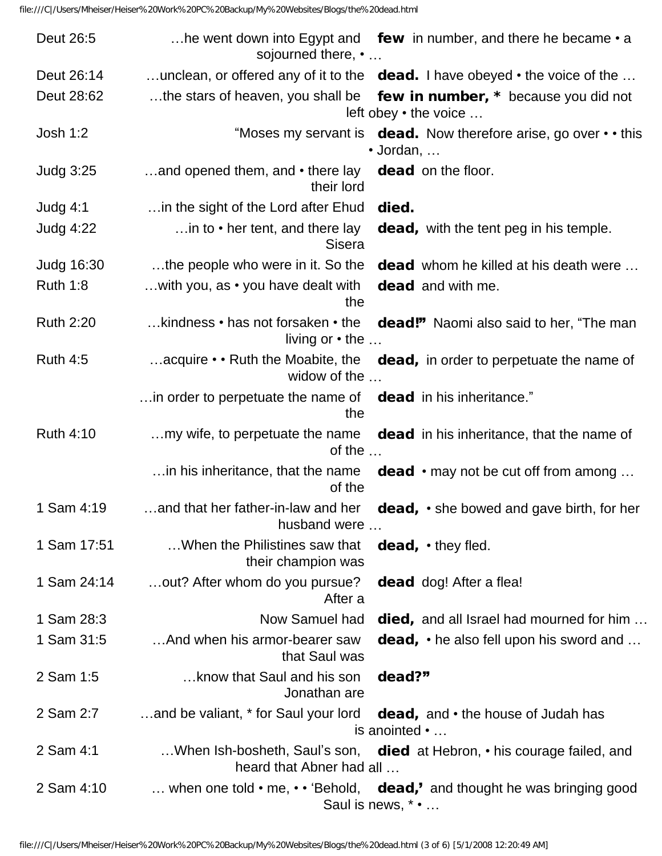| Deut 26:5        | he went down into Egypt and few in number, and there he became $\cdot$ a<br>sojourned there, •                      |
|------------------|---------------------------------------------------------------------------------------------------------------------|
| Deut 26:14       | unclean, or offered any of it to the dead. I have obeyed • the voice of the                                         |
| Deut 28:62       | the stars of heaven, you shall be<br>few in number, * because you did not<br>left obey • the voice                  |
| <b>Josh 1:2</b>  | "Moses my servant is <b>dead.</b> Now therefore arise, go over $\cdot$ this<br>$\cdot$ Jordan, $\dots$              |
| <b>Judg 3:25</b> | and opened them, and $\cdot$ there lay<br>dead on the floor.<br>their lord                                          |
| Judg $4:1$       | in the sight of the Lord after Ehud<br>died.                                                                        |
| <b>Judg 4:22</b> | in to $\cdot$ her tent, and there lay<br><b>dead,</b> with the tent peg in his temple.<br><b>Sisera</b>             |
| Judg 16:30       | the people who were in it. So the<br><b>dead</b> whom he killed at his death were                                   |
| <b>Ruth 1:8</b>  | with you, as $\cdot$ you have dealt with<br><b>dead</b> and with me.<br>the                                         |
| <b>Ruth 2:20</b> | kindness • has not forsaken • the<br>dead!" Naomi also said to her, "The man<br>living or $\cdot$ the $\dots$       |
| <b>Ruth 4:5</b>  | acquire $\cdot \cdot$ Ruth the Moabite, the<br><b>dead,</b> in order to perpetuate the name of<br>widow of the      |
|                  | in order to perpetuate the name of dead in his inheritance."<br>the                                                 |
| <b>Ruth 4:10</b> | my wife, to perpetuate the name<br><b>dead</b> in his inheritance, that the name of<br>of the $\dots$               |
|                  | in his inheritance, that the name<br><b>dead</b> $\cdot$ may not be cut off from among<br>of the                    |
| 1 Sam 4:19       | and that her father-in-law and her<br>dead, • she bowed and gave birth, for her<br>husband were                     |
| 1 Sam 17:51      | When the Philistines saw that<br>$dead, \cdot$ they fled.<br>their champion was                                     |
| 1 Sam 24:14      | out? After whom do you pursue?<br><b>dead</b> dog! After a flea!<br>After a                                         |
| 1 Sam 28:3       | Now Samuel had<br><b>died, and all Israel had mourned for him</b>                                                   |
| 1 Sam 31:5       | And when his armor-bearer saw<br><b>dead,</b> $\cdot$ he also fell upon his sword and<br>that Saul was              |
| 2 Sam 1:5        | know that Saul and his son<br>dead?"<br>Jonathan are                                                                |
| 2 Sam 2:7        | and be valiant, * for Saul your lord<br><b>dead, and <math>\cdot</math></b> the house of Judah has<br>is anointed • |
| 2 Sam 4:1        | When Ish-bosheth, Saul's son, died at Hebron, • his courage failed, and<br>heard that Abner had all                 |
| 2 Sam 4:10       | when one told $\cdot$ me, $\cdot \cdot$ 'Behold, dead,' and thought he was bringing good<br>Saul is news, * •       |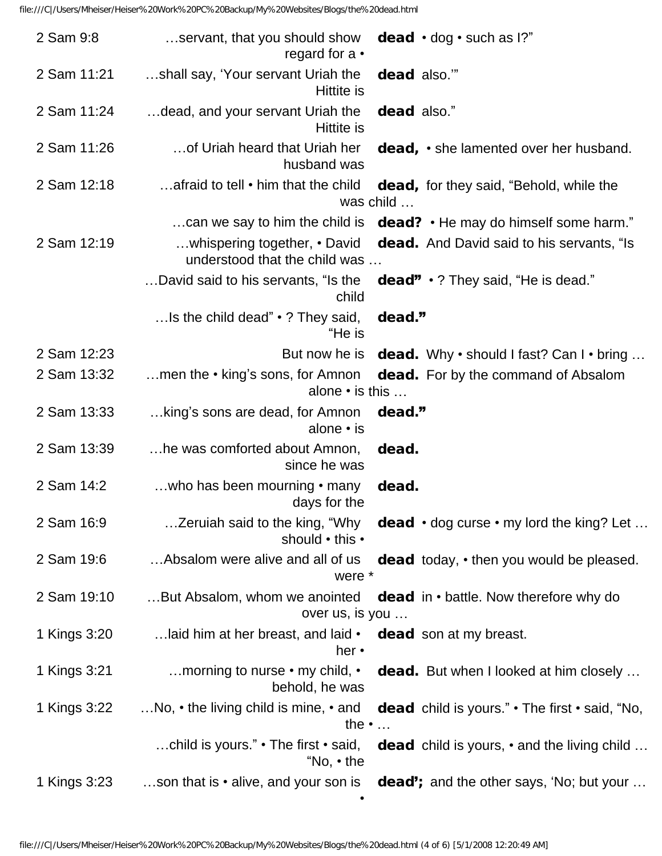| 2 Sam 9:8    | servant, that you should show<br><b>dead</b> $\cdot$ dog $\cdot$ such as 1?"<br>regard for $a \cdot$                       |
|--------------|----------------------------------------------------------------------------------------------------------------------------|
| 2 Sam 11:21  | shall say, 'Your servant Uriah the<br>dead also."<br>Hittite is                                                            |
| 2 Sam 11:24  | dead, and your servant Uriah the<br>dead also."<br>Hittite is                                                              |
| 2 Sam 11:26  | of Uriah heard that Uriah her<br>dead, • she lamented over her husband.<br>husband was                                     |
| 2 Sam 12:18  | afraid to tell • him that the child<br><b>dead,</b> for they said, "Behold, while the<br>was child                         |
|              | can we say to him the child is $\,$ dead? $\cdot$ He may do himself some harm."                                            |
| 2 Sam 12:19  | whispering together, • David<br><b>dead.</b> And David said to his servants, "Is<br>understood that the child was          |
|              | David said to his servants, "Is the<br>dead" • ? They said, "He is dead."<br>child                                         |
|              | Is the child dead" $\cdot$ ? They said,<br>dead."<br>"He is                                                                |
| 2 Sam 12:23  | But now he is<br>dead. Why • should I fast? Can I • bring                                                                  |
| 2 Sam 13:32  | men the $\cdot$ king's sons, for Amnon<br>dead. For by the command of Absalom<br>alone $\cdot$ is this $\dots$             |
| 2 Sam 13:33  | king's sons are dead, for Amnon<br>dead."<br>alone $\cdot$ is                                                              |
| 2 Sam 13:39  | he was comforted about Amnon,<br>dead.<br>since he was                                                                     |
| 2 Sam 14:2   | who has been mourning • many<br>dead.<br>days for the                                                                      |
| 2 Sam 16:9   | Zeruiah said to the king, "Why<br>dead · dog curse · my lord the king? Let<br>should • this •                              |
| 2 Sam 19:6   | Absalom were alive and all of us<br>dead today, • then you would be pleased.<br>were *                                     |
| 2 Sam 19:10  | But Absalom, whom we anointed<br>dead in • battle. Now therefore why do<br>over us, is you                                 |
| 1 Kings 3:20 | laid him at her breast, and laid •<br><b>dead</b> son at my breast.<br>her $\cdot$                                         |
| 1 Kings 3:21 | morning to nurse • my child, •<br>dead. But when I looked at him closely<br>behold, he was                                 |
| 1 Kings 3:22 | No, $\cdot$ the living child is mine, $\cdot$ and<br>dead child is yours." • The first • said, "No,<br>the $\cdot$         |
|              | child is yours." $\cdot$ The first $\cdot$ said,<br><b>dead</b> child is yours, • and the living child<br>"No, $\cdot$ the |
| 1 Kings 3:23 | son that is • alive, and your son is<br>dead'; and the other says, 'No; but your                                           |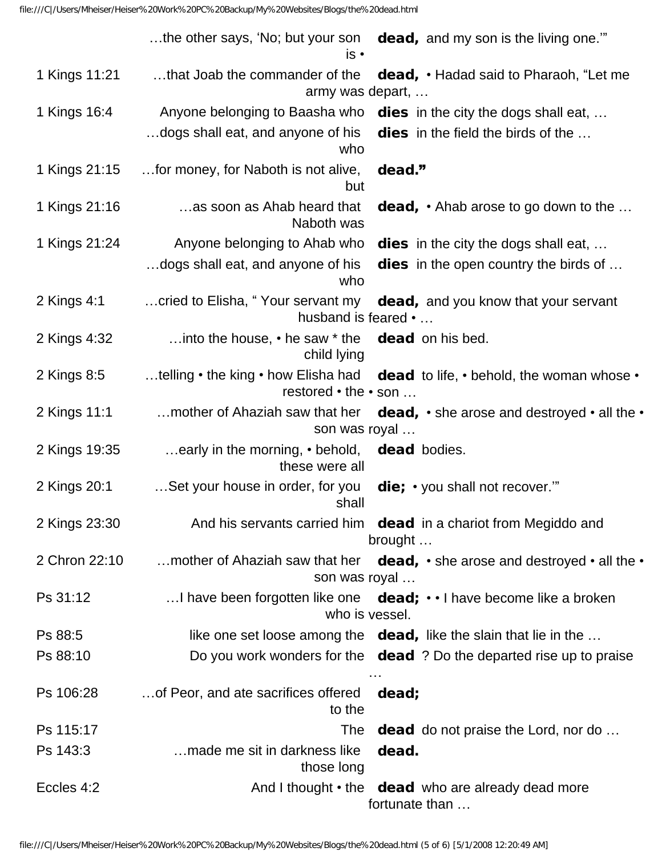|               | the other says, 'No; but your son dead, and my son is the living one."<br>is •                                                |
|---------------|-------------------------------------------------------------------------------------------------------------------------------|
| 1 Kings 11:21 | that Joab the commander of the<br><b>dead, • Hadad said to Pharaoh, "Let me</b><br>army was depart,                           |
| 1 Kings 16:4  | Anyone belonging to Baasha who dies in the city the dogs shall eat,                                                           |
|               | dogs shall eat, and anyone of his<br><b>dies</b> in the field the birds of the<br>who                                         |
| 1 Kings 21:15 | for money, for Naboth is not alive,<br>dead."<br>but                                                                          |
| 1 Kings 21:16 | as soon as Ahab heard that<br><b>dead, •</b> Ahab arose to go down to the<br>Naboth was                                       |
| 1 Kings 21:24 | Anyone belonging to Ahab who<br><b>dies</b> in the city the dogs shall eat,                                                   |
|               | dogs shall eat, and anyone of his<br><b>dies</b> in the open country the birds of<br>who                                      |
| 2 Kings 4:1   | cried to Elisha, "Your servant my dead, and you know that your servant<br>husband is feared •                                 |
| 2 Kings 4:32  | into the house, $\cdot$ he saw $*$ the dead on his bed.<br>child lying                                                        |
| 2 Kings 8:5   | telling $\cdot$ the king $\cdot$ how Elisha had dead to life, $\cdot$ behold, the woman whose $\cdot$<br>restored • the • son |
| 2 Kings 11:1  | mother of Ahaziah saw that her $dead, \cdot she$ arose and destroyed $\cdot$ all the $\cdot$<br>son was royal                 |
| 2 Kings 19:35 | early in the morning, • behold, dead bodies.<br>these were all                                                                |
| 2 Kings 20:1  | Set your house in order, for you<br>die; • you shall not recover."<br>shall                                                   |
| 2 Kings 23:30 | And his servants carried him dead in a chariot from Megiddo and<br>brought                                                    |
| 2 Chron 22:10 | mother of Ahaziah saw that her dead, $\cdot$ she arose and destroyed $\cdot$ all the $\cdot$<br>son was royal                 |
| Ps 31:12      | I have been forgotten like one $\det$ : $\cdot$ I have become like a broken<br>who is vessel.                                 |
| Ps 88:5       | like one set loose among the $\,$ dead, like the slain that lie in the                                                        |
| Ps 88:10      | Do you work wonders for the dead ? Do the departed rise up to praise                                                          |
| Ps 106:28     | of Peor, and ate sacrifices offered<br>dead;<br>to the                                                                        |
| Ps 115:17     | The<br><b>dead</b> do not praise the Lord, nor do                                                                             |
| Ps 143:3      | made me sit in darkness like<br>dead.<br>those long                                                                           |
| Eccles 4:2    | And I thought $\cdot$ the dead who are already dead more<br>fortunate than                                                    |